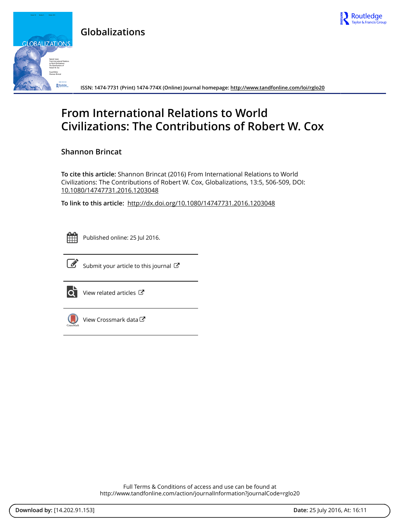

**Globalizations**



**ISSN: 1474-7731 (Print) 1474-774X (Online) Journal homepage: <http://www.tandfonline.com/loi/rglo20>**

# **From International Relations to World Civilizations: The Contributions of Robert W. Cox**

**Shannon Brincat**

**To cite this article:** Shannon Brincat (2016) From International Relations to World Civilizations: The Contributions of Robert W. Cox, Globalizations, 13:5, 506-509, DOI: [10.1080/14747731.2016.1203048](http://www.tandfonline.com/action/showCitFormats?doi=10.1080/14747731.2016.1203048)

**To link to this article:** <http://dx.doi.org/10.1080/14747731.2016.1203048>



Published online: 25 Jul 2016.



 $\overrightarrow{S}$  [Submit your article to this journal](http://www.tandfonline.com/action/authorSubmission?journalCode=rglo20&page=instructions)  $\overrightarrow{S}$ 



 $\overrightarrow{Q}$  [View related articles](http://www.tandfonline.com/doi/mlt/10.1080/14747731.2016.1203048)  $\overrightarrow{C}$ 



[View Crossmark data](http://crossmark.crossref.org/dialog/?doi=10.1080/14747731.2016.1203048&domain=pdf&date_stamp=2016-07-25)<sup>√</sup>

Full Terms & Conditions of access and use can be found at <http://www.tandfonline.com/action/journalInformation?journalCode=rglo20>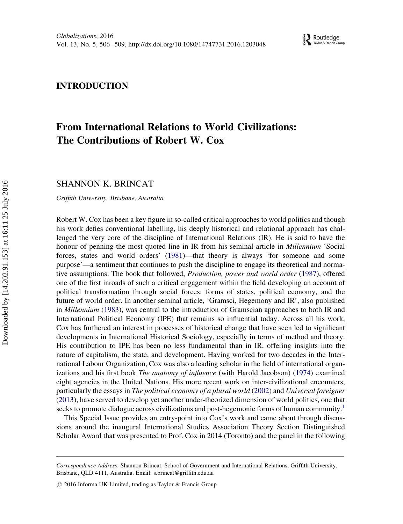### <span id="page-1-0"></span>INTRODUCTION

## From International Relations to World Civilizations: The Contributions of Robert W. Cox

SHANNON K. BRINCAT

Griffith University, Brisbane, Australia

Robert W. Cox has been a key figure in so-called critical approaches to world politics and though his work defies conventional labelling, his deeply historical and relational approach has challenged the very core of the discipline of International Relations (IR). He is said to have the honour of penning the most quoted line in IR from his seminal article in *Millennium* 'Social forces, states and world orders' ([1981\)](#page-3-0)—that theory is always 'for someone and some purpose'—a sentiment that continues to push the discipline to engage its theoretical and normative assumptions. The book that followed, Production, power and world order ([1987](#page-3-0)), offered one of the first inroads of such a critical engagement within the field developing an account of political transformation through social forces: forms of states, political economy, and the future of world order. In another seminal article, 'Gramsci, Hegemony and IR', also published in Millennium [\(1983](#page-3-0)), was central to the introduction of Gramscian approaches to both IR and International Political Economy (IPE) that remains so influential today. Across all his work, Cox has furthered an interest in processes of historical change that have seen led to significant developments in International Historical Sociology, especially in terms of method and theory. His contribution to IPE has been no less fundamental than in IR, offering insights into the nature of capitalism, the state, and development. Having worked for two decades in the International Labour Organization, Cox was also a leading scholar in the field of international organizations and his first book The anatomy of influence (with Harold Jacobson) [\(1974](#page-3-0)) examined eight agencies in the United Nations. His more recent work on inter-civilizational encounters, particularly the essays in The political economy of a plural world ([2002](#page-3-0)) and Universal foreigner [\(2013](#page-3-0)), have served to develop yet another under-theorized dimension of world politics, one that seeks to promote dialogue across civilizations and post-hegemonic forms of human community.<sup>1</sup>

This Special Issue provides an entry-point into Cox's work and came about through discussions around the inaugural International Studies Association Theory Section Distinguished Scholar Award that was presented to Prof. Cox in 2014 (Toronto) and the panel in the following

Correspondence Address: Shannon Brincat, School of Government and International Relations, Griffith University, Brisbane, QLD 4111, Australia. Email: [s.brincat@griffith.edu.au](mailto:s.brincat@griffith.edu.au)

 $\odot$  2016 Informa UK Limited, trading as Taylor & Francis Group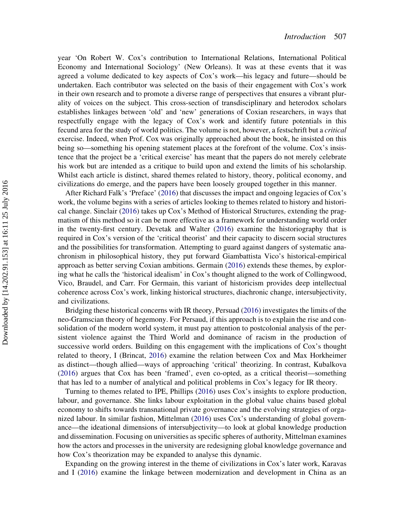<span id="page-2-0"></span>year 'On Robert W. Cox's contribution to International Relations, International Political Economy and International Sociology' (New Orleans). It was at these events that it was agreed a volume dedicated to key aspects of Cox's work—his legacy and future—should be undertaken. Each contributor was selected on the basis of their engagement with Cox's work in their own research and to promote a diverse range of perspectives that ensures a vibrant plurality of voices on the subject. This cross-section of transdisciplinary and heterodox scholars establishes linkages between 'old' and 'new' generations of Coxian researchers, in ways that respectfully engage with the legacy of Cox's work and identify future potentials in this fecund area for the study of world politics. The volume is not, however, a festschrift but a critical exercise. Indeed, when Prof. Cox was originally approached about the book, he insisted on this being so—something his opening statement places at the forefront of the volume. Cox's insistence that the project be a 'critical exercise' has meant that the papers do not merely celebrate his work but are intended as a critique to build upon and extend the limits of his scholarship. Whilst each article is distinct, shared themes related to history, theory, political economy, and civilizations do emerge, and the papers have been loosely grouped together in this manner.

After Richard Falk's 'Preface' ([2016\)](#page-3-0) that discusses the impact and ongoing legacies of Cox's work, the volume begins with a series of articles looking to themes related to history and historical change. Sinclair ([2016\)](#page-4-0) takes up Cox's Method of Historical Structures, extending the pragmatism of this method so it can be more effective as a framework for understanding world order in the twenty-first century. Devetak and Walter [\(2016](#page-3-0)) examine the historiography that is required in Cox's version of the 'critical theorist' and their capacity to discern social structures and the possibilities for transformation. Attempting to guard against dangers of systematic anachronism in philosophical history, they put forward Giambattista Vico's historical-empirical approach as better serving Coxian ambitions. Germain ([2016\)](#page-3-0) extends these themes, by exploring what he calls the 'historical idealism' in Cox's thought aligned to the work of Collingwood, Vico, Braudel, and Carr. For Germain, this variant of historicism provides deep intellectual coherence across Cox's work, linking historical structures, diachronic change, intersubjectivity, and civilizations.

Bridging these historical concerns with IR theory, Persuad ([2016\)](#page-4-0) investigates the limits of the neo-Gramscian theory of hegemony. For Persaud, if this approach is to explain the rise and consolidation of the modern world system, it must pay attention to postcolonial analysis of the persistent violence against the Third World and dominance of racism in the production of successive world orders. Building on this engagement with the implications of Cox's thought related to theory, I (Brincat, [2016](#page-3-0)) examine the relation between Cox and Max Horkheimer as distinct—though allied—ways of approaching 'critical' theorizing. In contrast, Kubalkova [\(2016](#page-3-0)) argues that Cox has been 'framed', even co-opted, as a critical theorist—something that has led to a number of analytical and political problems in Cox's legacy for IR theory.

Turning to themes related to IPE, Phillips [\(2016](#page-4-0)) uses Cox's insights to explore production, labour, and governance. She links labour exploitation in the global value chains based global economy to shifts towards transnational private governance and the evolving strategies of organized labour. In similar fashion, Mittelman ([2016\)](#page-4-0) uses Cox's understanding of global governance—the ideational dimensions of intersubjectivity—to look at global knowledge production and dissemination. Focusing on universities as specific spheres of authority, Mittelman examines how the actors and processes in the university are redesigning global knowledge governance and how Cox's theorization may be expanded to analyse this dynamic.

Expanding on the growing interest in the theme of civilizations in Cox's later work, Karavas and I ([2016\)](#page-3-0) examine the linkage between modernization and development in China as an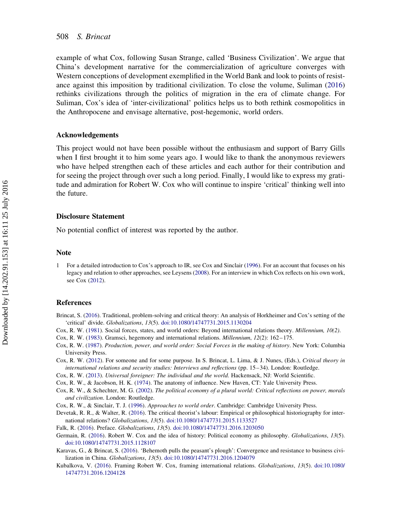<span id="page-3-0"></span>example of what Cox, following Susan Strange, called 'Business Civilization'. We argue that China's development narrative for the commercialization of agriculture converges with Western conceptions of development exemplified in the World Bank and look to points of resistance against this imposition by traditional civilization. To close the volume, Suliman ([2016\)](#page-4-0) rethinks civilizations through the politics of migration in the era of climate change. For Suliman, Cox's idea of 'inter-civilizational' politics helps us to both rethink cosmopolitics in the Anthropocene and envisage alternative, post-hegemonic, world orders.

#### Acknowledgements

This project would not have been possible without the enthusiasm and support of Barry Gills when I first brought it to him some years ago. I would like to thank the anonymous reviewers who have helped strengthen each of these articles and each author for their contribution and for seeing the project through over such a long period. Finally, I would like to express my gratitude and admiration for Robert W. Cox who will continue to inspire 'critical' thinking well into the future.

#### Disclosure Statement

No potential conflict of interest was reported by the author.

#### Note

1 For a detailed introduction to Cox's approach to IR, see Cox and Sinclair (1996). For an account that focuses on his legacy and relation to other approaches, see Leysens [\(2008](#page-4-0)). For an interview in which Cox reflects on his own work, see Cox (2012).

#### References

- Brincat, S. ([2016\)](#page-2-0). Traditional, problem-solving and critical theory: An analysis of Horkheimer and Cox's setting of the 'critical' divide. Globalizations, 13(5). [doi:10.1080/14747731.2015.1130204](http://dx.doi.org/10.1080/14747731.2015.1130204)
- Cox, R. W. ([1981\)](#page-1-0). Social forces, states, and world orders: Beyond international relations theory. Millennium, 10(2).
- Cox, R. W. ([1983\)](#page-1-0). Gramsci, hegemony and international relations. Millennium, 12(2): 162 –175.
- Cox, R. W. [\(1987](#page-1-0)). Production, power, and world order: Social Forces in the making of history. New York: Columbia University Press.
- Cox, R. W. (2012). For someone and for some purpose. In S. Brincat, L. Lima, & J. Nunes, (Eds.), Critical theory in international relations and security studies: Interviews and reflections (pp. 15–34). London: Routledge.
- Cox, R. W. ([2013\)](#page-1-0). Universal foreigner: The individual and the world. Hackensack, NJ: World Scientific.
- Cox, R. W., & Jacobson, H. K. [\(1974](#page-1-0)). The anatomy of influence. New Haven, CT: Yale University Press.
- Cox, R. W., & Schechter, M. G. ([2002\)](#page-1-0). The political economy of a plural world: Critical reflections on power, morals and civilization. London: Routledge.
- Cox, R. W., & Sinclair, T. J. (1996). Approaches to world order. Cambridge: Cambridge University Press.
- Devetak, R. R., & Walter, R. ([2016\)](#page-2-0). The critical theorist's labour: Empirical or philosophical historiography for international relations? Globalizations, 13(5). [doi:10.1080/14747731.2015.1133527](http://dx.doi.org/10.1080/14747731.2015.1133527)
- Falk, R. ([2016\)](#page-2-0). Preface. Globalizations, 13(5). [doi:10.1080/14747731.2016.1203050](http://dx.doi.org/10.1080/14747731.2016.1203050)
- Germain, R. [\(2016](#page-2-0)). Robert W. Cox and the idea of history: Political economy as philosophy. Globalizations, 13(5). [doi:10.1080/14747731.2015.1128107](http://dx.doi.org/10.1080/14747731.2015.1128107)
- Karavas, G., & Brincat, S. [\(2016](#page-2-0)). 'Behemoth pulls the peasant's plough': Convergence and resistance to business civilization in China. Globalizations, 13(5). [doi:10.1080/14747731.2016.1204079](http://dx.doi.org/10.1080/14747731.2016.1204079)
- Kubalkova, V. ([2016\)](#page-2-0). Framing Robert W. Cox, framing international relations. Globalizations, 13(5). [doi:10.1080/](http://dx.doi.org/10.1080/14747731.2016.1204128) [14747731.2016.1204128](http://dx.doi.org/10.1080/14747731.2016.1204128)